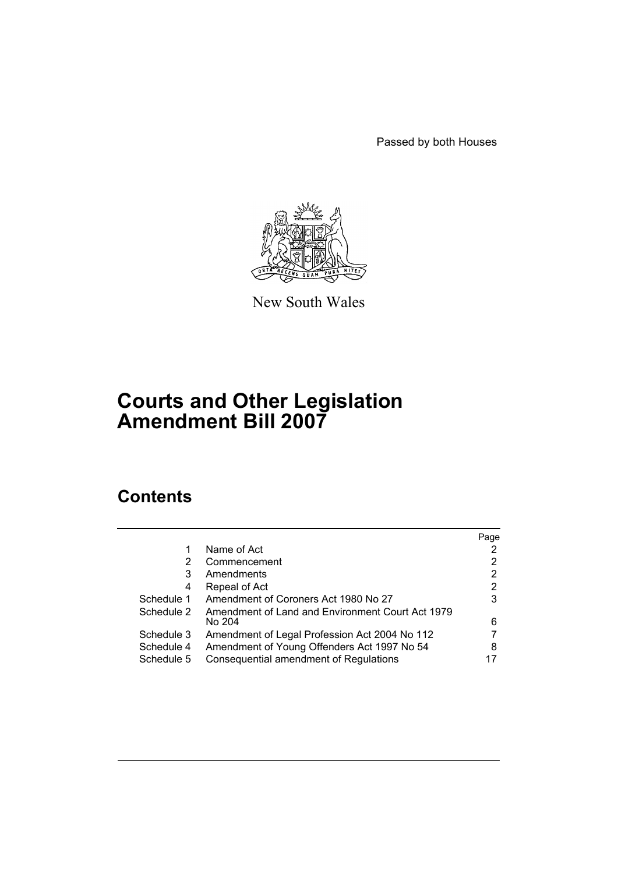Passed by both Houses



New South Wales

# **Courts and Other Legislation Amendment Bill 2007**

# **Contents**

|            |                                                  | Page |
|------------|--------------------------------------------------|------|
|            | Name of Act                                      |      |
| 2          | Commencement                                     | 2    |
| 3          | Amendments                                       | 2    |
| 4          | Repeal of Act                                    | 2    |
| Schedule 1 | Amendment of Coroners Act 1980 No 27             | 3    |
| Schedule 2 | Amendment of Land and Environment Court Act 1979 |      |
|            | No 204                                           | 6    |
| Schedule 3 | Amendment of Legal Profession Act 2004 No 112    |      |
| Schedule 4 | Amendment of Young Offenders Act 1997 No 54      | 8    |
| Schedule 5 | Consequential amendment of Regulations           |      |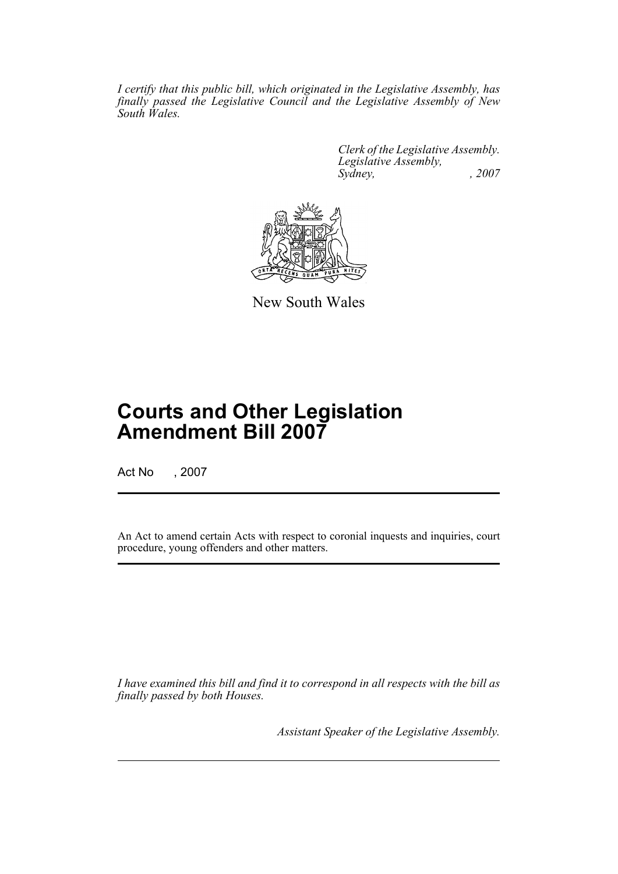*I certify that this public bill, which originated in the Legislative Assembly, has finally passed the Legislative Council and the Legislative Assembly of New South Wales.*

> *Clerk of the Legislative Assembly. Legislative Assembly, Sydney, , 2007*



New South Wales

# **Courts and Other Legislation Amendment Bill 2007**

Act No , 2007

An Act to amend certain Acts with respect to coronial inquests and inquiries, court procedure, young offenders and other matters.

*I have examined this bill and find it to correspond in all respects with the bill as finally passed by both Houses.*

*Assistant Speaker of the Legislative Assembly.*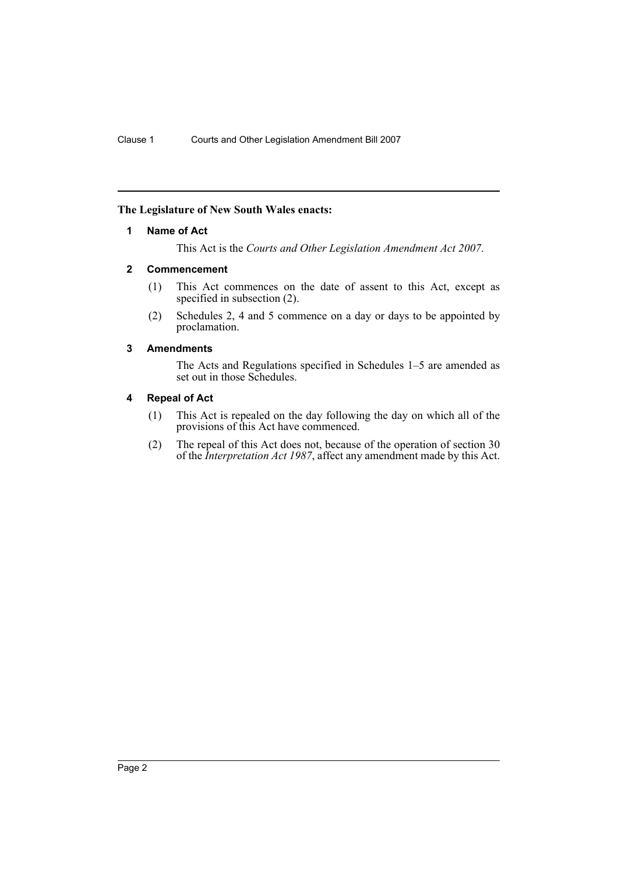#### <span id="page-2-0"></span>**The Legislature of New South Wales enacts:**

#### **1 Name of Act**

This Act is the *Courts and Other Legislation Amendment Act 2007*.

#### <span id="page-2-1"></span>**2 Commencement**

- (1) This Act commences on the date of assent to this Act, except as specified in subsection (2).
- (2) Schedules 2, 4 and 5 commence on a day or days to be appointed by proclamation.

#### <span id="page-2-2"></span>**3 Amendments**

The Acts and Regulations specified in Schedules 1–5 are amended as set out in those Schedules.

#### <span id="page-2-3"></span>**4 Repeal of Act**

- (1) This Act is repealed on the day following the day on which all of the provisions of this Act have commenced.
- (2) The repeal of this Act does not, because of the operation of section 30 of the *Interpretation Act 1987*, affect any amendment made by this Act.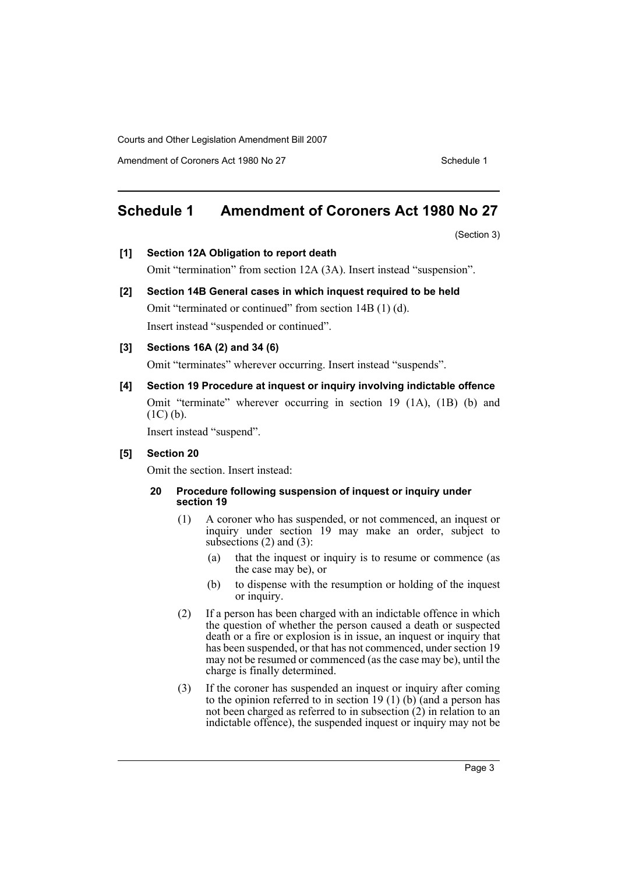Amendment of Coroners Act 1980 No 27 Schedule 1

# <span id="page-3-0"></span>**Schedule 1 Amendment of Coroners Act 1980 No 27**

(Section 3)

- **[1] Section 12A Obligation to report death** Omit "termination" from section 12A (3A). Insert instead "suspension".
- **[2] Section 14B General cases in which inquest required to be held** Omit "terminated or continued" from section 14B (1) (d). Insert instead "suspended or continued".
- **[3] Sections 16A (2) and 34 (6)**

Omit "terminates" wherever occurring. Insert instead "suspends".

**[4] Section 19 Procedure at inquest or inquiry involving indictable offence** Omit "terminate" wherever occurring in section 19 (1A), (1B) (b) and  $(1C)$  (b).

Insert instead "suspend".

#### **[5] Section 20**

Omit the section. Insert instead:

- **20 Procedure following suspension of inquest or inquiry under section 19**
	- (1) A coroner who has suspended, or not commenced, an inquest or inquiry under section 19 may make an order, subject to subsections  $(2)$  and  $(3)$ :
		- (a) that the inquest or inquiry is to resume or commence (as the case may be), or
		- (b) to dispense with the resumption or holding of the inquest or inquiry.
	- (2) If a person has been charged with an indictable offence in which the question of whether the person caused a death or suspected death or a fire or explosion is in issue, an inquest or inquiry that has been suspended, or that has not commenced, under section 19 may not be resumed or commenced (as the case may be), until the charge is finally determined.
	- (3) If the coroner has suspended an inquest or inquiry after coming to the opinion referred to in section 19 (1) (b) (and a person has not been charged as referred to in subsection (2) in relation to an indictable offence), the suspended inquest or inquiry may not be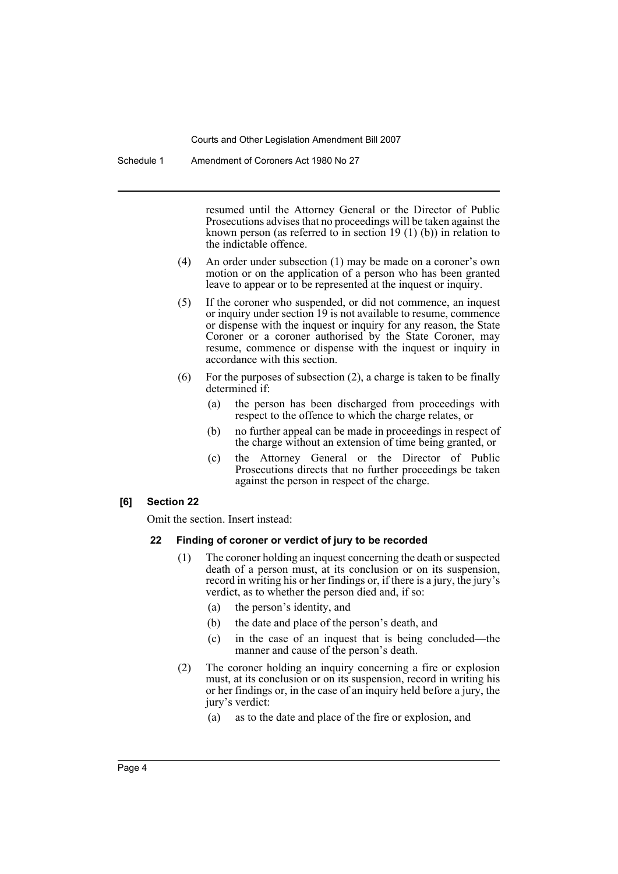Schedule 1 Amendment of Coroners Act 1980 No 27

resumed until the Attorney General or the Director of Public Prosecutions advises that no proceedings will be taken against the known person (as referred to in section 19  $(1)$  (b)) in relation to the indictable offence.

- (4) An order under subsection (1) may be made on a coroner's own motion or on the application of a person who has been granted leave to appear or to be represented at the inquest or inquiry.
- (5) If the coroner who suspended, or did not commence, an inquest or inquiry under section 19 is not available to resume, commence or dispense with the inquest or inquiry for any reason, the State Coroner or a coroner authorised by the State Coroner, may resume, commence or dispense with the inquest or inquiry in accordance with this section.
- (6) For the purposes of subsection (2), a charge is taken to be finally determined if:
	- (a) the person has been discharged from proceedings with respect to the offence to which the charge relates, or
	- (b) no further appeal can be made in proceedings in respect of the charge without an extension of time being granted, or
	- (c) the Attorney General or the Director of Public Prosecutions directs that no further proceedings be taken against the person in respect of the charge.

#### **[6] Section 22**

Omit the section. Insert instead:

#### **22 Finding of coroner or verdict of jury to be recorded**

- (1) The coroner holding an inquest concerning the death or suspected death of a person must, at its conclusion or on its suspension, record in writing his or her findings or, if there is a jury, the jury's verdict, as to whether the person died and, if so:
	- (a) the person's identity, and
	- (b) the date and place of the person's death, and
	- (c) in the case of an inquest that is being concluded—the manner and cause of the person's death.
- (2) The coroner holding an inquiry concerning a fire or explosion must, at its conclusion or on its suspension, record in writing his or her findings or, in the case of an inquiry held before a jury, the jury's verdict:
	- (a) as to the date and place of the fire or explosion, and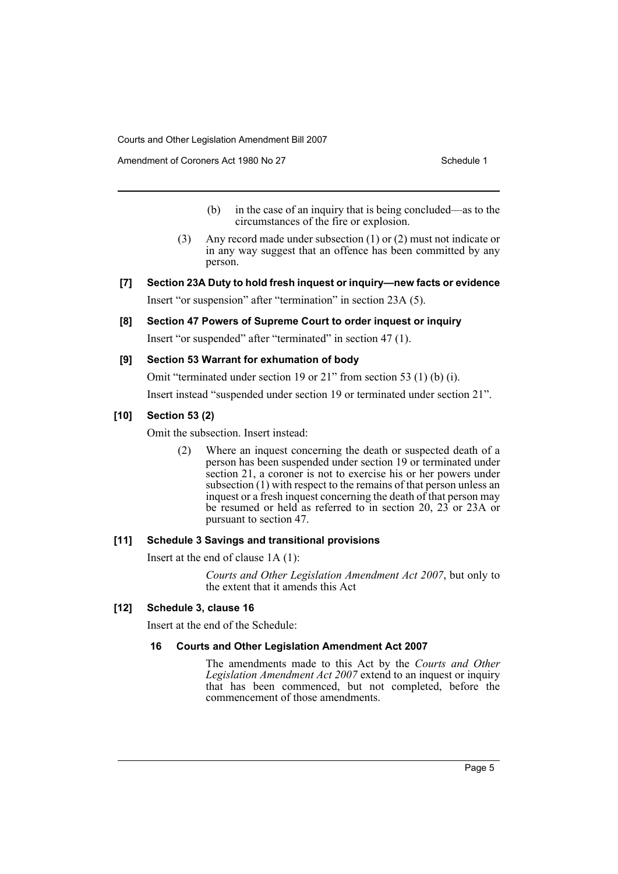Amendment of Coroners Act 1980 No 27 Schedule 1

- (b) in the case of an inquiry that is being concluded—as to the circumstances of the fire or explosion.
- (3) Any record made under subsection (1) or (2) must not indicate or in any way suggest that an offence has been committed by any person.
- **[7] Section 23A Duty to hold fresh inquest or inquiry—new facts or evidence** Insert "or suspension" after "termination" in section 23A (5).

**[8] Section 47 Powers of Supreme Court to order inquest or inquiry**

Insert "or suspended" after "terminated" in section 47 (1).

#### **[9] Section 53 Warrant for exhumation of body**

Omit "terminated under section 19 or 21" from section 53 (1) (b) (i).

Insert instead "suspended under section 19 or terminated under section 21".

#### **[10] Section 53 (2)**

Omit the subsection. Insert instead:

(2) Where an inquest concerning the death or suspected death of a person has been suspended under section 19 or terminated under section 21, a coroner is not to exercise his or her powers under subsection  $(1)$  with respect to the remains of that person unless an inquest or a fresh inquest concerning the death of that person may be resumed or held as referred to in section 20,  $23$  or  $23A$  or pursuant to section 47.

#### **[11] Schedule 3 Savings and transitional provisions**

Insert at the end of clause 1A (1):

*Courts and Other Legislation Amendment Act 2007*, but only to the extent that it amends this Act

#### **[12] Schedule 3, clause 16**

Insert at the end of the Schedule:

#### **16 Courts and Other Legislation Amendment Act 2007**

The amendments made to this Act by the *Courts and Other Legislation Amendment Act 2007* extend to an inquest or inquiry that has been commenced, but not completed, before the commencement of those amendments.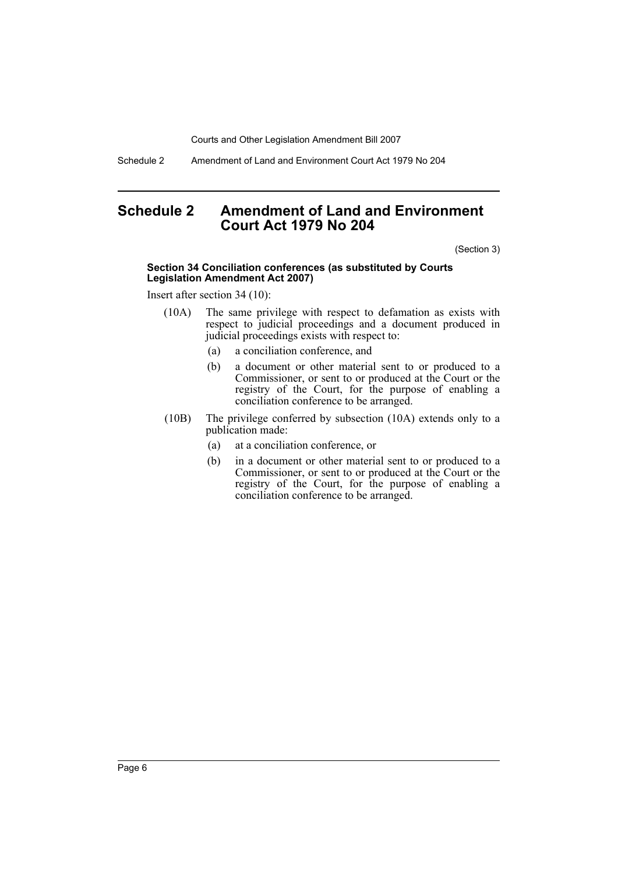Schedule 2 Amendment of Land and Environment Court Act 1979 No 204

## <span id="page-6-0"></span>**Schedule 2 Amendment of Land and Environment Court Act 1979 No 204**

(Section 3)

#### **Section 34 Conciliation conferences (as substituted by Courts Legislation Amendment Act 2007)**

Insert after section 34 (10):

- (10A) The same privilege with respect to defamation as exists with respect to judicial proceedings and a document produced in judicial proceedings exists with respect to:
	- (a) a conciliation conference, and
	- (b) a document or other material sent to or produced to a Commissioner, or sent to or produced at the Court or the registry of the Court, for the purpose of enabling a conciliation conference to be arranged.
- (10B) The privilege conferred by subsection (10A) extends only to a publication made:
	- (a) at a conciliation conference, or
	- (b) in a document or other material sent to or produced to a Commissioner, or sent to or produced at the Court or the registry of the Court, for the purpose of enabling a conciliation conference to be arranged.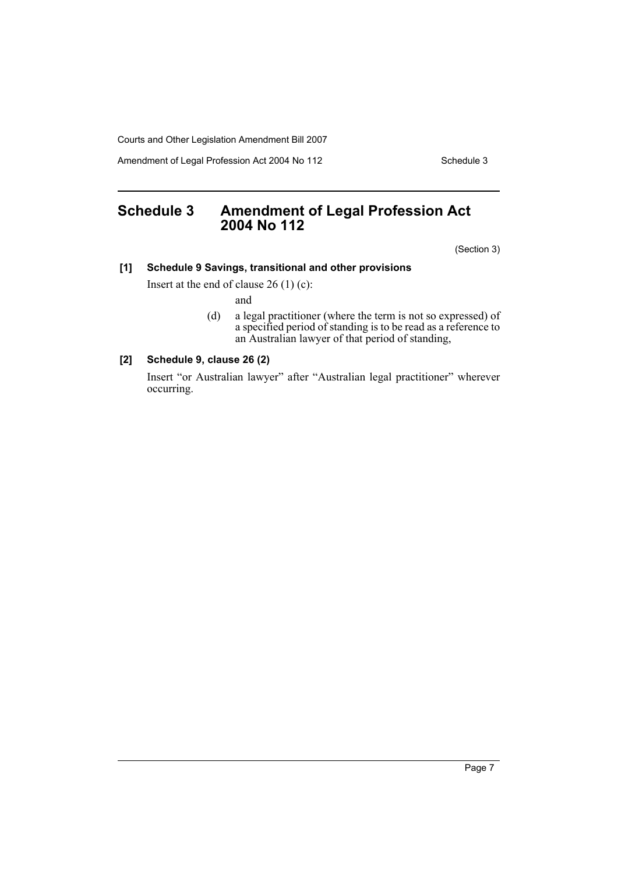Amendment of Legal Profession Act 2004 No 112 Schedule 3

# <span id="page-7-0"></span>**Schedule 3 Amendment of Legal Profession Act 2004 No 112**

(Section 3)

#### **[1] Schedule 9 Savings, transitional and other provisions**

Insert at the end of clause 26 (1) (c):

and

(d) a legal practitioner (where the term is not so expressed) of a specified period of standing is to be read as a reference to an Australian lawyer of that period of standing,

#### **[2] Schedule 9, clause 26 (2)**

Insert "or Australian lawyer" after "Australian legal practitioner" wherever occurring.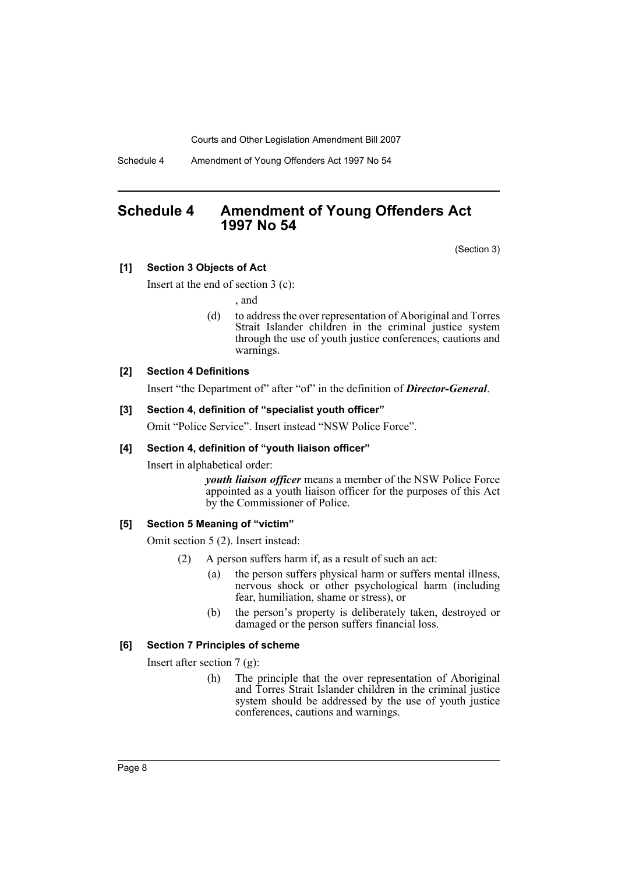Schedule 4 Amendment of Young Offenders Act 1997 No 54

## <span id="page-8-0"></span>**Schedule 4 Amendment of Young Offenders Act 1997 No 54**

(Section 3)

#### **[1] Section 3 Objects of Act**

Insert at the end of section 3 (c):

, and

(d) to address the over representation of Aboriginal and Torres Strait Islander children in the criminal justice system through the use of youth justice conferences, cautions and warnings.

#### **[2] Section 4 Definitions**

Insert "the Department of" after "of" in the definition of *Director-General*.

#### **[3] Section 4, definition of "specialist youth officer"**

Omit "Police Service". Insert instead "NSW Police Force".

#### **[4] Section 4, definition of "youth liaison officer"**

Insert in alphabetical order:

*youth liaison officer* means a member of the NSW Police Force appointed as a youth liaison officer for the purposes of this Act by the Commissioner of Police.

#### **[5] Section 5 Meaning of "victim"**

Omit section 5 (2). Insert instead:

- (2) A person suffers harm if, as a result of such an act:
	- (a) the person suffers physical harm or suffers mental illness, nervous shock or other psychological harm (including fear, humiliation, shame or stress), or
	- (b) the person's property is deliberately taken, destroyed or damaged or the person suffers financial loss.

#### **[6] Section 7 Principles of scheme**

Insert after section 7 (g):

(h) The principle that the over representation of Aboriginal and Torres Strait Islander children in the criminal justice system should be addressed by the use of youth justice conferences, cautions and warnings.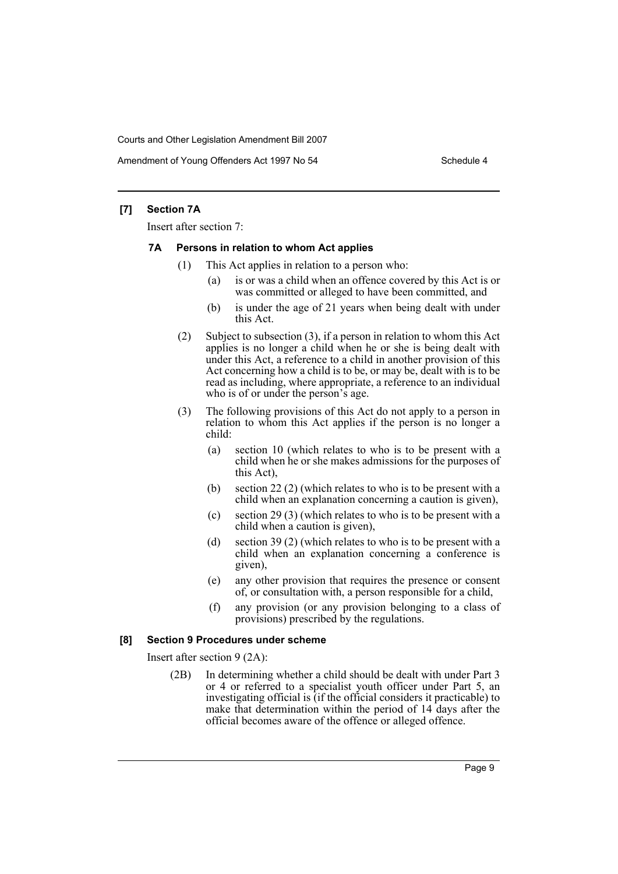Amendment of Young Offenders Act 1997 No 54 Schedule 4

#### **[7] Section 7A**

Insert after section 7:

#### **7A Persons in relation to whom Act applies**

- (1) This Act applies in relation to a person who:
	- (a) is or was a child when an offence covered by this Act is or was committed or alleged to have been committed, and
	- (b) is under the age of 21 years when being dealt with under this Act.
- (2) Subject to subsection (3), if a person in relation to whom this Act applies is no longer a child when he or she is being dealt with under this Act, a reference to a child in another provision of this Act concerning how a child is to be, or may be, dealt with is to be read as including, where appropriate, a reference to an individual who is of or under the person's age.
- (3) The following provisions of this Act do not apply to a person in relation to whom this Act applies if the person is no longer a child:
	- (a) section 10 (which relates to who is to be present with a child when he or she makes admissions for the purposes of this Act),
	- (b) section 22 (2) (which relates to who is to be present with a child when an explanation concerning a caution is given),
	- (c) section 29 (3) (which relates to who is to be present with a child when a caution is given),
	- (d) section 39 (2) (which relates to who is to be present with a child when an explanation concerning a conference is given),
	- (e) any other provision that requires the presence or consent of, or consultation with, a person responsible for a child,
	- (f) any provision (or any provision belonging to a class of provisions) prescribed by the regulations.

#### **[8] Section 9 Procedures under scheme**

Insert after section 9 (2A):

(2B) In determining whether a child should be dealt with under Part 3 or 4 or referred to a specialist youth officer under Part 5, an investigating official is (if the official considers it practicable) to make that determination within the period of 14 days after the official becomes aware of the offence or alleged offence.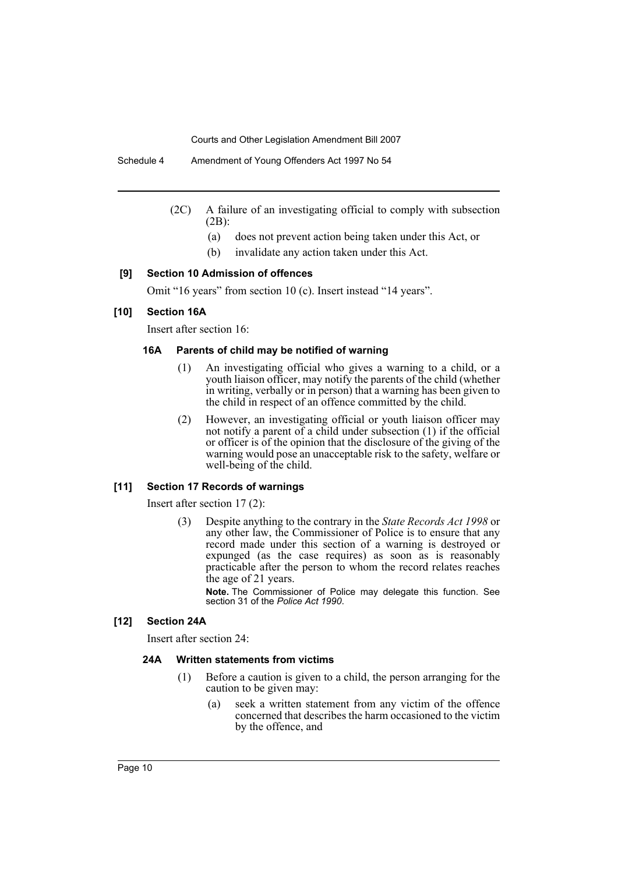- (2C) A failure of an investigating official to comply with subsection (2B):
	- (a) does not prevent action being taken under this Act, or
	- (b) invalidate any action taken under this Act.

#### **[9] Section 10 Admission of offences**

Omit "16 years" from section 10 (c). Insert instead "14 years".

#### **[10] Section 16A**

Insert after section 16:

#### **16A Parents of child may be notified of warning**

- (1) An investigating official who gives a warning to a child, or a youth liaison officer, may notify the parents of the child (whether in writing, verbally or in person) that a warning has been given to the child in respect of an offence committed by the child.
- (2) However, an investigating official or youth liaison officer may not notify a parent of a child under subsection (1) if the official or officer is of the opinion that the disclosure of the giving of the warning would pose an unacceptable risk to the safety, welfare or well-being of the child.

#### **[11] Section 17 Records of warnings**

Insert after section 17 (2):

(3) Despite anything to the contrary in the *State Records Act 1998* or any other law, the Commissioner of Police is to ensure that any record made under this section of a warning is destroyed or expunged (as the case requires) as soon as is reasonably practicable after the person to whom the record relates reaches the age of 21 years.

**Note.** The Commissioner of Police may delegate this function. See section 31 of the *Police Act 1990*.

#### **[12] Section 24A**

Insert after section 24:

#### **24A Written statements from victims**

- (1) Before a caution is given to a child, the person arranging for the caution to be given may:
	- (a) seek a written statement from any victim of the offence concerned that describes the harm occasioned to the victim by the offence, and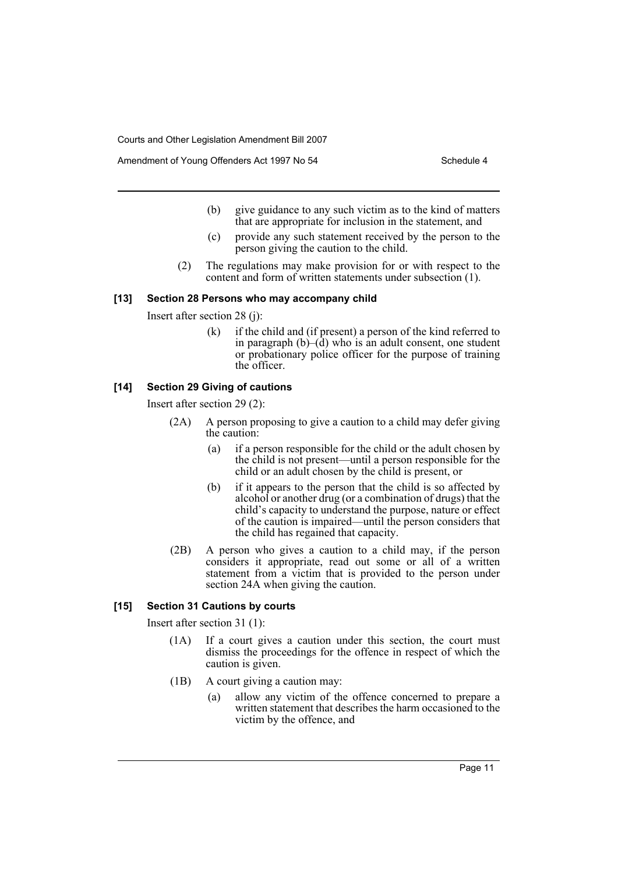Amendment of Young Offenders Act 1997 No 54 Schedule 4

- (b) give guidance to any such victim as to the kind of matters that are appropriate for inclusion in the statement, and
- (c) provide any such statement received by the person to the person giving the caution to the child.
- (2) The regulations may make provision for or with respect to the content and form of written statements under subsection (1).

#### **[13] Section 28 Persons who may accompany child**

Insert after section 28 (j):

(k) if the child and (if present) a person of the kind referred to in paragraph  $(b)$ – $(d)$  who is an adult consent, one student or probationary police officer for the purpose of training the officer.

#### **[14] Section 29 Giving of cautions**

Insert after section 29 (2):

- (2A) A person proposing to give a caution to a child may defer giving the caution:
	- (a) if a person responsible for the child or the adult chosen by the child is not present—until a person responsible for the child or an adult chosen by the child is present, or
	- (b) if it appears to the person that the child is so affected by alcohol or another drug (or a combination of drugs) that the child's capacity to understand the purpose, nature or effect of the caution is impaired—until the person considers that the child has regained that capacity.
- (2B) A person who gives a caution to a child may, if the person considers it appropriate, read out some or all of a written statement from a victim that is provided to the person under section 24A when giving the caution.

#### **[15] Section 31 Cautions by courts**

Insert after section 31 (1):

- (1A) If a court gives a caution under this section, the court must dismiss the proceedings for the offence in respect of which the caution is given.
- (1B) A court giving a caution may:
	- (a) allow any victim of the offence concerned to prepare a written statement that describes the harm occasioned to the victim by the offence, and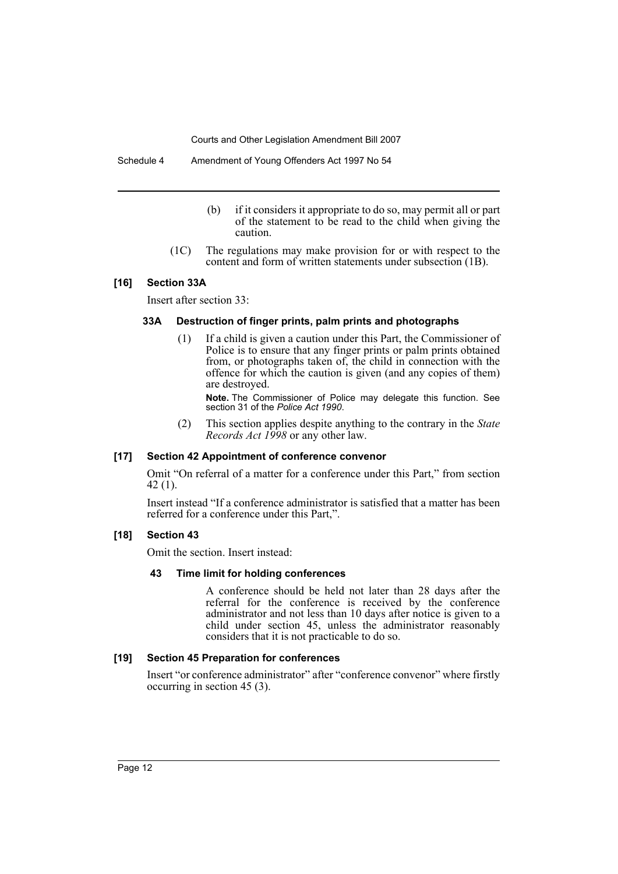- (b) if it considers it appropriate to do so, may permit all or part of the statement to be read to the child when giving the caution.
- (1C) The regulations may make provision for or with respect to the content and form of written statements under subsection (1B).

#### **[16] Section 33A**

Insert after section 33:

#### **33A Destruction of finger prints, palm prints and photographs**

(1) If a child is given a caution under this Part, the Commissioner of Police is to ensure that any finger prints or palm prints obtained from, or photographs taken of, the child in connection with the offence for which the caution is given (and any copies of them) are destroyed.

**Note.** The Commissioner of Police may delegate this function. See section 31 of the *Police Act 1990*.

(2) This section applies despite anything to the contrary in the *State Records Act 1998* or any other law.

#### **[17] Section 42 Appointment of conference convenor**

Omit "On referral of a matter for a conference under this Part," from section 42 (1).

Insert instead "If a conference administrator is satisfied that a matter has been referred for a conference under this Part,".

#### **[18] Section 43**

Omit the section. Insert instead:

#### **43 Time limit for holding conferences**

A conference should be held not later than 28 days after the referral for the conference is received by the conference administrator and not less than 10 days after notice is given to a child under section 45, unless the administrator reasonably considers that it is not practicable to do so.

#### **[19] Section 45 Preparation for conferences**

Insert "or conference administrator" after "conference convenor" where firstly occurring in section 45 (3).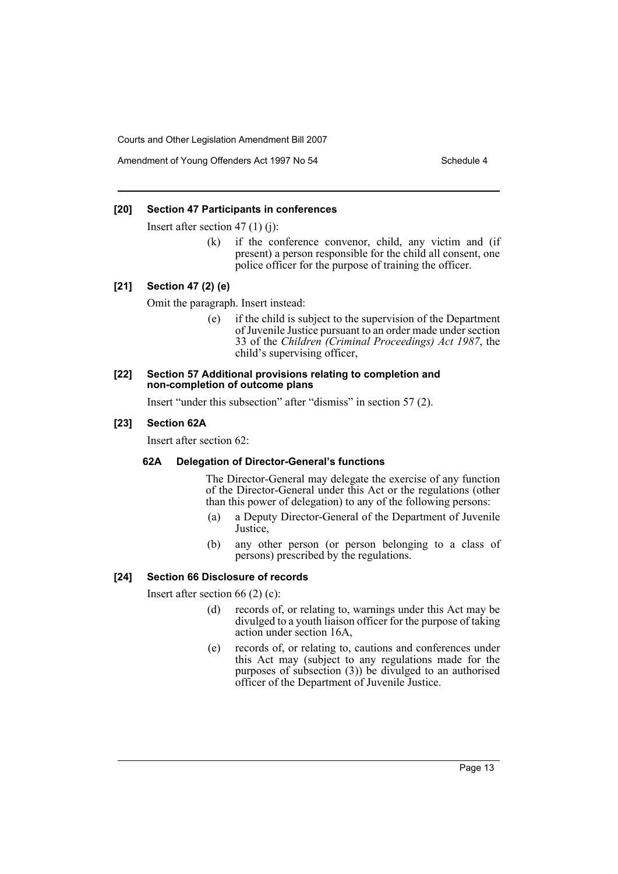Amendment of Young Offenders Act 1997 No 54 Schedule 4

#### **[20] Section 47 Participants in conferences**

Insert after section 47 (1) (j):

(k) if the conference convenor, child, any victim and (if present) a person responsible for the child all consent, one police officer for the purpose of training the officer.

#### **[21] Section 47 (2) (e)**

Omit the paragraph. Insert instead:

(e) if the child is subject to the supervision of the Department of Juvenile Justice pursuant to an order made under section 33 of the *Children (Criminal Proceedings) Act 1987*, the child's supervising officer,

#### **[22] Section 57 Additional provisions relating to completion and non-completion of outcome plans**

Insert "under this subsection" after "dismiss" in section 57 (2).

#### **[23] Section 62A**

Insert after section 62:

#### **62A Delegation of Director-General's functions**

The Director-General may delegate the exercise of any function of the Director-General under this Act or the regulations (other than this power of delegation) to any of the following persons:

- (a) a Deputy Director-General of the Department of Juvenile Justice,
- (b) any other person (or person belonging to a class of persons) prescribed by the regulations.

#### **[24] Section 66 Disclosure of records**

Insert after section 66 (2) (c):

- (d) records of, or relating to, warnings under this Act may be divulged to a youth liaison officer for the purpose of taking action under section 16A,
- (e) records of, or relating to, cautions and conferences under this Act may (subject to any regulations made for the purposes of subsection (3)) be divulged to an authorised officer of the Department of Juvenile Justice.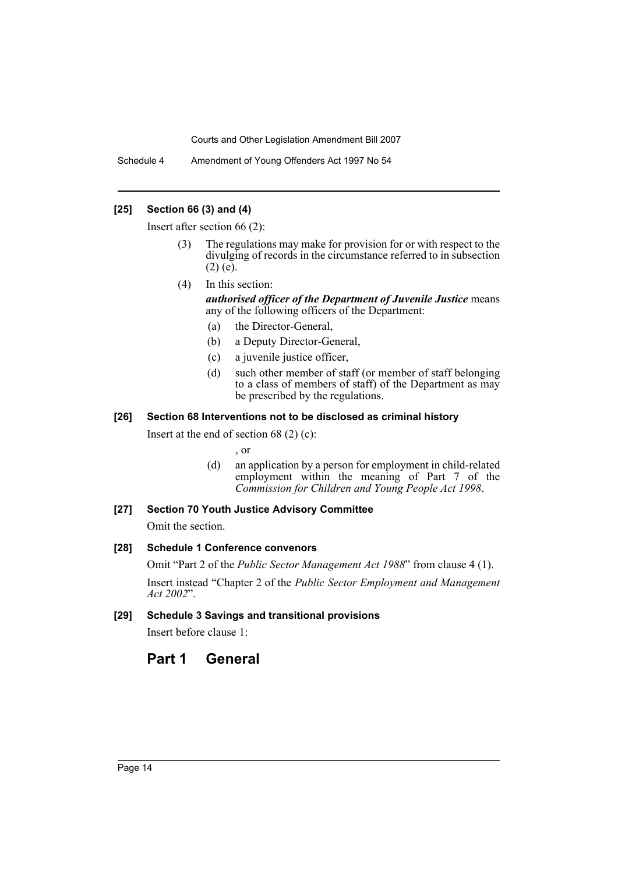Schedule 4 Amendment of Young Offenders Act 1997 No 54

#### **[25] Section 66 (3) and (4)**

Insert after section 66 (2):

- The regulations may make for provision for or with respect to the divulging of records in the circumstance referred to in subsection  $(2)$  (e).
- (4) In this section: *authorised officer of the Department of Juvenile Justice* means any of the following officers of the Department:
	- (a) the Director-General,
	- (b) a Deputy Director-General,
	- (c) a juvenile justice officer,
	- (d) such other member of staff (or member of staff belonging to a class of members of staff) of the Department as may be prescribed by the regulations.

#### **[26] Section 68 Interventions not to be disclosed as criminal history**

Insert at the end of section 68 (2) (c):

, or

(d) an application by a person for employment in child-related employment within the meaning of Part 7 of the *Commission for Children and Young People Act 1998*.

#### **[27] Section 70 Youth Justice Advisory Committee**

Omit the section.

#### **[28] Schedule 1 Conference convenors**

Omit "Part 2 of the *Public Sector Management Act 1988*" from clause 4 (1). Insert instead "Chapter 2 of the *Public Sector Employment and Management Act 2002*".

#### **[29] Schedule 3 Savings and transitional provisions**

Insert before clause 1:

# **Part 1 General**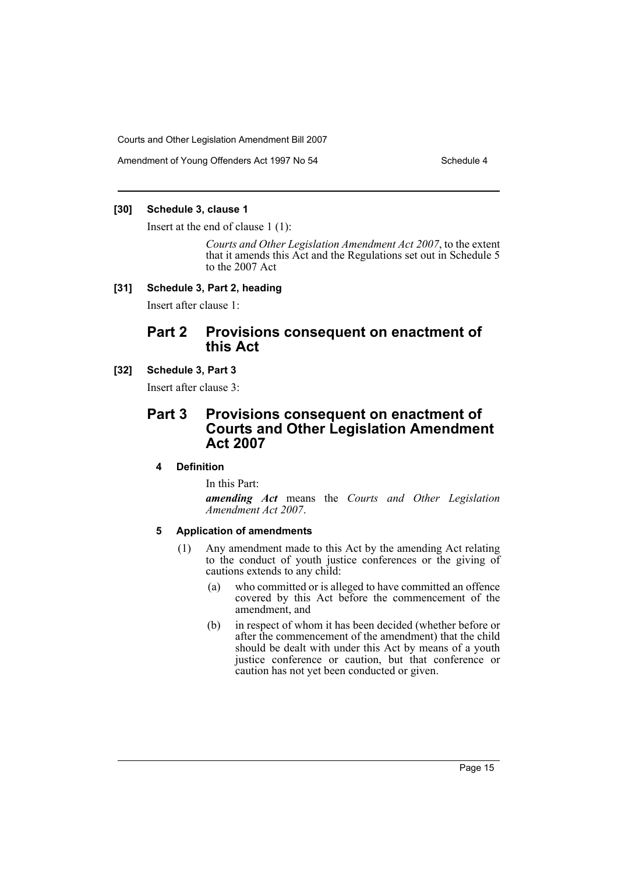Amendment of Young Offenders Act 1997 No 54 Schedule 4

#### **[30] Schedule 3, clause 1**

Insert at the end of clause 1 (1):

*Courts and Other Legislation Amendment Act 2007*, to the extent that it amends this Act and the Regulations set out in Schedule 5 to the 2007 Act

#### **[31] Schedule 3, Part 2, heading**

Insert after clause 1:

## **Part 2 Provisions consequent on enactment of this Act**

#### **[32] Schedule 3, Part 3**

Insert after clause 3:

## **Part 3 Provisions consequent on enactment of Courts and Other Legislation Amendment Act 2007**

#### **4 Definition**

In this Part:

*amending Act* means the *Courts and Other Legislation Amendment Act 2007*.

#### **5 Application of amendments**

- (1) Any amendment made to this Act by the amending Act relating to the conduct of youth justice conferences or the giving of cautions extends to any child:
	- (a) who committed or is alleged to have committed an offence covered by this Act before the commencement of the amendment, and
	- (b) in respect of whom it has been decided (whether before or after the commencement of the amendment) that the child should be dealt with under this Act by means of a youth justice conference or caution, but that conference or caution has not yet been conducted or given.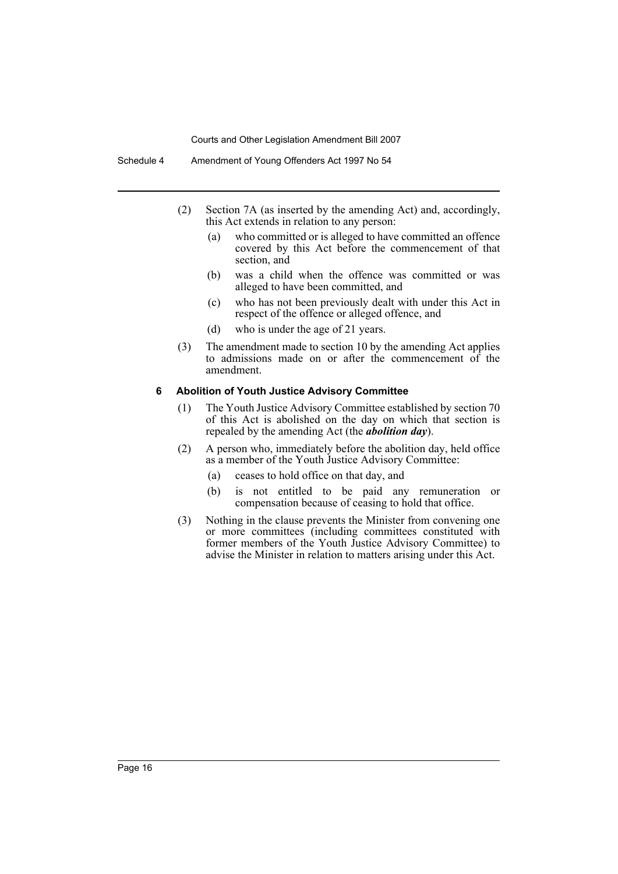- (2) Section 7A (as inserted by the amending Act) and, accordingly, this Act extends in relation to any person:
	- (a) who committed or is alleged to have committed an offence covered by this Act before the commencement of that section, and
	- (b) was a child when the offence was committed or was alleged to have been committed, and
	- (c) who has not been previously dealt with under this Act in respect of the offence or alleged offence, and
	- (d) who is under the age of 21 years.
- (3) The amendment made to section 10 by the amending Act applies to admissions made on or after the commencement of the amendment.

#### **6 Abolition of Youth Justice Advisory Committee**

- (1) The Youth Justice Advisory Committee established by section 70 of this Act is abolished on the day on which that section is repealed by the amending Act (the *abolition day*).
- (2) A person who, immediately before the abolition day, held office as a member of the Youth Justice Advisory Committee:
	- (a) ceases to hold office on that day, and
	- (b) is not entitled to be paid any remuneration or compensation because of ceasing to hold that office.
- (3) Nothing in the clause prevents the Minister from convening one or more committees (including committees constituted with former members of the Youth Justice Advisory Committee) to advise the Minister in relation to matters arising under this Act.